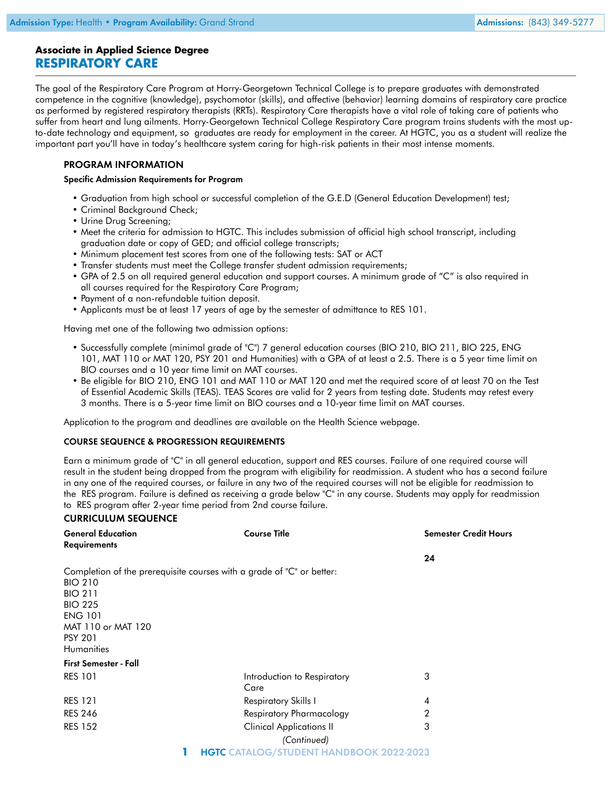# **Associate in Applied Science Degree RESPIRATORY CARE**

The goal of the Respiratory Care Program at Horry-Georgetown Technical College is to prepare graduates with demonstrated competence in the cognitive (knowledge), psychomotor (skills), and affective (behavior) learning domains of respiratory care practice as performed by registered respiratory therapists (RRTs). Respiratory Care therapists have a vital role of taking care of patients who suffer from heart and lung ailments. Horry-Georgetown Technical College Respiratory Care program trains students with the most upto-date technology and equipment, so graduates are ready for employment in the career. At HGTC, you as a student will realize the important part you'll have in today's healthcare system caring for high-risk patients in their most intense moments.

## PROGRAM INFORMATION

#### Specific Admission Requirements for Program

- Graduation from high school or successful completion of the G.E.D (General Education Development) test;
- Criminal Background Check;
- Urine Drug Screening;
- Meet the criteria for admission to HGTC. This includes submission of official high school transcript, including graduation date or copy of GED; and official college transcripts;
- Minimum placement test scores from one of the following tests: SAT or ACT
- Transfer students must meet the College transfer student admission requirements;
- GPA of 2.5 on all required general education and support courses. A minimum grade of "C" is also required in all courses required for the Respiratory Care Program;
- Payment of a non-refundable tuition deposit.
- Applicants must be at least 17 years of age by the semester of admittance to RES 101.

Having met one of the following two admission options:

- Successfully complete (minimal grade of "C") 7 general education courses (BIO 210, BIO 211, BIO 225, ENG 101, MAT 110 or MAT 120, PSY 201 and Humanities) with a GPA of at least a 2.5. There is a 5 year time limit on BIO courses and a 10 year time limit on MAT courses.
- Be eligible for BIO 210, ENG 101 and MAT 110 or MAT 120 and met the required score of at least 70 on the Test of Essential Academic Skills (TEAS). TEAS Scores are valid for 2 years from testing date. Students may retest every 3 months. There is a 5-year time limit on BIO courses and a 10-year time limit on MAT courses.

Application to the program and deadlines are available on the Health Science webpage.

#### COURSE SEQUENCE & PROGRESSION REQUIREMENTS

Earn a minimum grade of "C" in all general education, support and RES courses. Failure of one required course will result in the student being dropped from the program with eligibility for readmission. A student who has a second failure in any one of the required courses, or failure in any two of the required courses will not be eligible for readmission to the RES program. Failure is defined as receiving a grade below "C" in any course. Students may apply for readmission to RES program after 2-year time period from 2nd course failure.

### CURRICULUM SEQUENCE

| <b>General Education</b>         | <b>Course Title</b>                                                   | <b>Semester Credit Hours</b> |
|----------------------------------|-----------------------------------------------------------------------|------------------------------|
| <b>Requirements</b>              |                                                                       |                              |
|                                  |                                                                       | 24                           |
| <b>BIO 210</b><br><b>BIO 211</b> | Completion of the prerequisite courses with a grade of "C" or better: |                              |
| <b>BIO 225</b>                   |                                                                       |                              |
| <b>ENG 101</b>                   |                                                                       |                              |
| MAT 110 or MAT 120               |                                                                       |                              |
| <b>PSY 201</b>                   |                                                                       |                              |
| <b>Humanities</b>                |                                                                       |                              |
| <b>First Semester - Fall</b>     |                                                                       |                              |
| <b>RES 101</b>                   | Introduction to Respiratory<br>Care                                   | 3                            |
| <b>RES 121</b>                   | Respiratory Skills I                                                  | $\overline{4}$               |
| <b>RES 246</b>                   | Respiratory Pharmacology                                              | 2                            |
| <b>RES 152</b>                   | <b>Clinical Applications II</b>                                       | 3                            |
|                                  | (Continued)                                                           |                              |
|                                  | <b>HGTC CATALOG/STUDENT HANDBOOK 2022-2023</b>                        |                              |